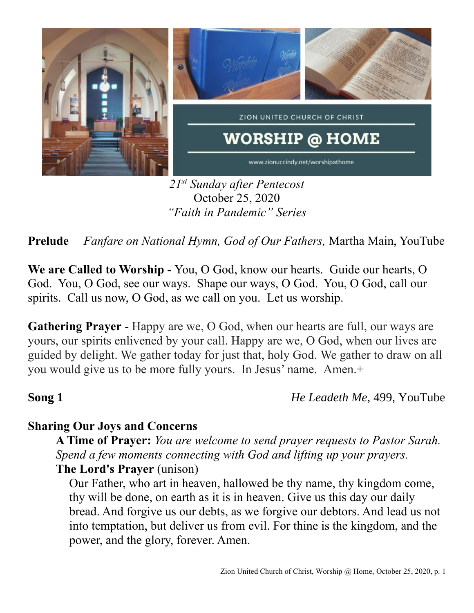

*21 st Sunday after Pentecost* October 25, 2020 *"Faith in Pandemic" Series*

**Prelude** *Fanfare on National Hymn, God of Our Fathers,* Martha Main, YouTube

**We are Called to Worship -** You, O God, know our hearts. Guide our hearts, O God. You, O God, see our ways. Shape our ways, O God. You, O God, call our spirits. Call us now, O God, as we call on you. Let us worship.

**Gathering Prayer** - Happy are we, O God, when our hearts are full, our ways are yours, our spirits enlivened by your call. Happy are we, O God, when our lives are guided by delight. We gather today for just that, holy God. We gather to draw on all you would give us to be more fully yours. In Jesus' name. Amen.+

**Song 1** *He Leadeth Me, 499, YouTube* 

## **Sharing Our Joys and Concerns**

**A Time of Prayer:** *You are welcome to send prayer requests to Pastor Sarah. Spend a few moments connecting with God and lifting up your prayers.* **The Lord's Prayer** (unison)

Our Father, who art in heaven, hallowed be thy name, thy kingdom come, thy will be done, on earth as it is in heaven. Give us this day our daily bread. And forgive us our debts, as we forgive our debtors. And lead us not into temptation, but deliver us from evil. For thine is the kingdom, and the power, and the glory, forever. Amen.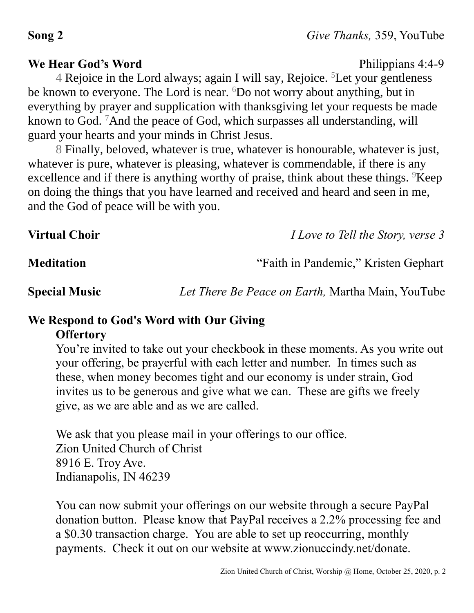### **We Hear God's Word** Philippians 4:4-9

4 Rejoice in the Lord always; again I will say, Rejoice. <sup>5</sup>Let your gentleness be known to everyone. The Lord is near. <sup>6</sup>Do not worry about anything, but in everything by prayer and supplication with thanksgiving let your requests be made known to God. <sup>7</sup>And the peace of God, which surpasses all understanding, will guard your hearts and your minds in Christ Jesus.

8 Finally, beloved, whatever is true, whatever is honourable, whatever is just, whatever is pure, whatever is pleasing, whatever is commendable, if there is any excellence and if there is anything worthy of praise, think about these things.  $9$ Keep on doing the things that you have learned and received and heard and seen in me, and the God of peace will be with you.

**Virtual Choir** *I Love to Tell the Story, verse 3*

## **Meditation** "Faith in Pandemic," Kristen Gephart

**Special Music** *Let There Be Peace on Earth,* Martha Main, YouTube

# **We Respond to God's Word with Our Giving Offertory**

You're invited to take out your checkbook in these moments. As you write out your offering, be prayerful with each letter and number. In times such as these, when money becomes tight and our economy is under strain, God invites us to be generous and give what we can. These are gifts we freely give, as we are able and as we are called.

We ask that you please mail in your offerings to our office. Zion United Church of Christ 8916 E. Troy Ave. Indianapolis, IN 46239

You can now submit your offerings on our website through a secure PayPal donation button. Please know that PayPal receives a 2.2% processing fee and a \$0.30 transaction charge. You are able to set up reoccurring, monthly payments. Check it out on our website at www.zionuccindy.net/donate.